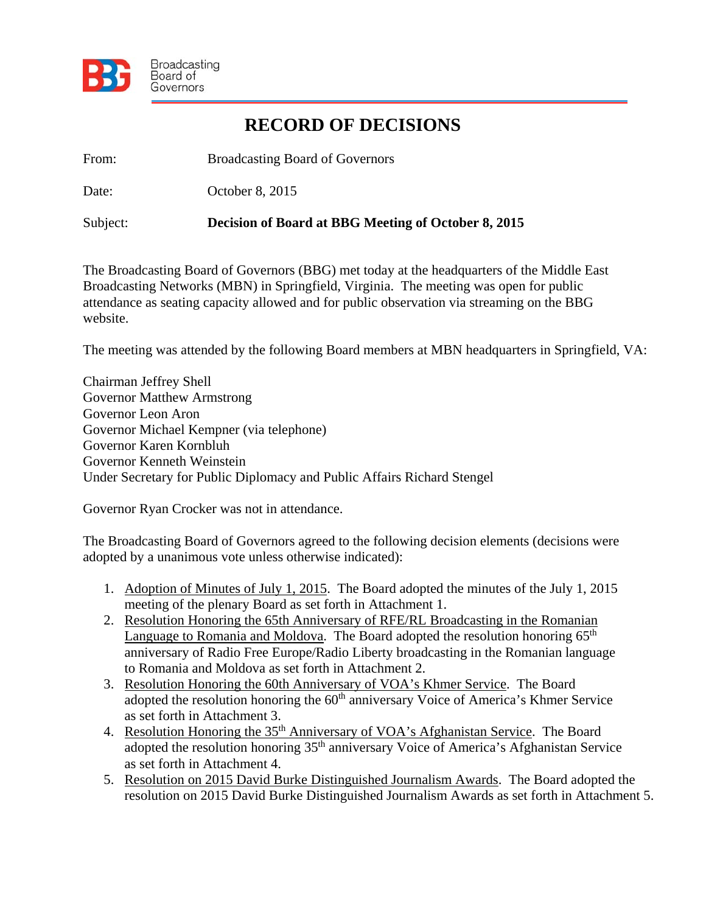

## **RECORD OF DECISIONS**

From: Broadcasting Board of Governors

Date: October 8, 2015

Subject: **Decision of Board at BBG Meeting of October 8, 2015** 

The Broadcasting Board of Governors (BBG) met today at the headquarters of the Middle East Broadcasting Networks (MBN) in Springfield, Virginia. The meeting was open for public attendance as seating capacity allowed and for public observation via streaming on the BBG website.

The meeting was attended by the following Board members at MBN headquarters in Springfield, VA:

Chairman Jeffrey Shell Governor Matthew Armstrong Governor Leon Aron Governor Michael Kempner (via telephone) Governor Karen Kornbluh Governor Kenneth Weinstein Under Secretary for Public Diplomacy and Public Affairs Richard Stengel

Governor Ryan Crocker was not in attendance.

The Broadcasting Board of Governors agreed to the following decision elements (decisions were adopted by a unanimous vote unless otherwise indicated):

- 1. Adoption of Minutes of July 1, 2015. The Board adopted the minutes of the July 1, 2015 meeting of the plenary Board as set forth in Attachment 1.
- 2. Resolution Honoring the 65th Anniversary of RFE/RL Broadcasting in the Romanian Language to Romania and Moldova. The Board adopted the resolution honoring 65<sup>th</sup> anniversary of Radio Free Europe/Radio Liberty broadcasting in the Romanian language to Romania and Moldova as set forth in Attachment 2.
- 3. Resolution Honoring the 60th Anniversary of VOA's Khmer Service. The Board adopted the resolution honoring the 60<sup>th</sup> anniversary Voice of America's Khmer Service as set forth in Attachment 3.
- 4. Resolution Honoring the 35<sup>th</sup> Anniversary of VOA's Afghanistan Service. The Board adopted the resolution honoring 35<sup>th</sup> anniversary Voice of America's Afghanistan Service as set forth in Attachment 4.
- 5. Resolution on 2015 David Burke Distinguished Journalism Awards. The Board adopted the resolution on 2015 David Burke Distinguished Journalism Awards as set forth in Attachment 5.